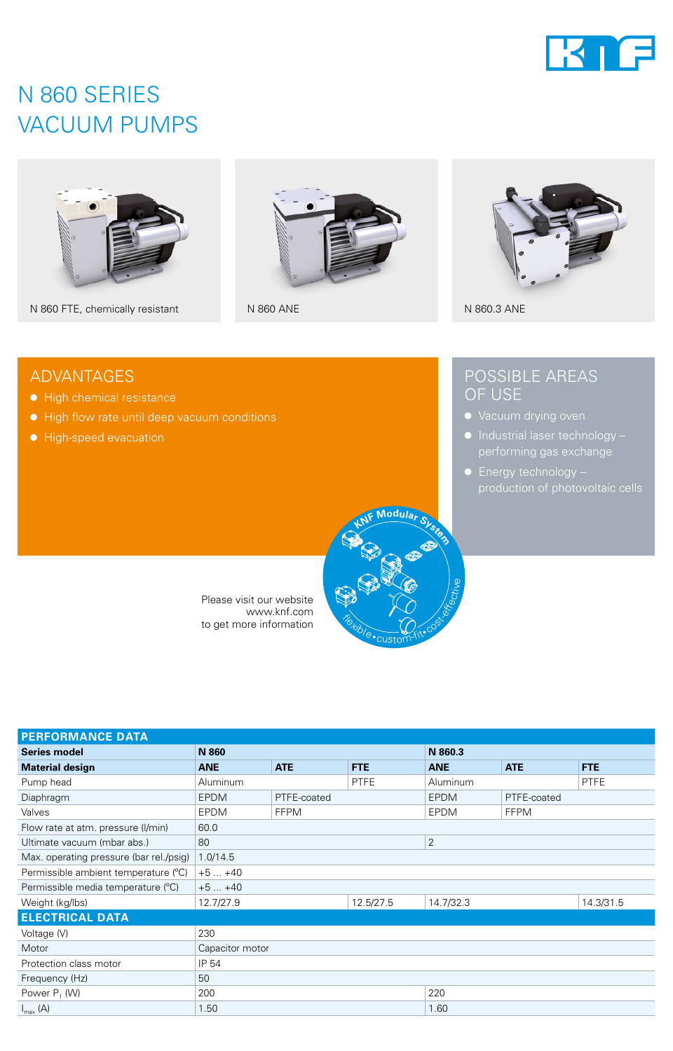

### N 860 SERIES VACUUM PUMPS



N 860 FTE, chemically resistant N 860 ANE N 860 ANE N 860.3 ANE

● High chemical resistance

● High-speed evacuation

● High flow rate until deep vacuum conditions

ADVANTAGES





### POSSIBLE AREAS OF USE

- 
- Industrial laser technology –
- Energy technology –



Please visit our website www.knf.com to get more information

| <b>PERFORMANCE DATA</b>                 |                 |             |             |                 |             |             |
|-----------------------------------------|-----------------|-------------|-------------|-----------------|-------------|-------------|
| <b>Series model</b>                     | N 860           |             |             | N 860.3         |             |             |
| <b>Material design</b>                  | <b>ANE</b>      | <b>ATE</b>  | <b>FTE</b>  | <b>ANE</b>      | <b>ATE</b>  | <b>FTE</b>  |
| Pump head                               | Aluminum        |             | <b>PTFE</b> | <b>Aluminum</b> |             | <b>PTFE</b> |
| Diaphragm                               | <b>EPDM</b>     | PTFE-coated |             | <b>EPDM</b>     | PTFE-coated |             |
| Valves                                  | <b>EPDM</b>     | <b>FFPM</b> |             | <b>EPDM</b>     | <b>FFPM</b> |             |
| Flow rate at atm. pressure (I/min)      | 60.0            |             |             |                 |             |             |
| Ultimate vacuum (mbar abs.)             | 80              |             |             | 2               |             |             |
| Max. operating pressure (bar rel./psig) | 1.0/14.5        |             |             |                 |             |             |
| Permissible ambient temperature (°C)    | $+5+40$         |             |             |                 |             |             |
| Permissible media temperature (°C)      | $+5+40$         |             |             |                 |             |             |
| Weight (kg/lbs)                         | 12.7/27.9       |             | 12.5/27.5   | 14.7/32.3       |             | 14.3/31.5   |
| <b>ELECTRICAL DATA</b>                  |                 |             |             |                 |             |             |
| Voltage (V)                             | 230             |             |             |                 |             |             |
| Motor                                   | Capacitor motor |             |             |                 |             |             |
| Protection class motor                  | IP 54           |             |             |                 |             |             |
| Frequency (Hz)                          | 50              |             |             |                 |             |             |
| Power $P_1$ (W)                         | 200             |             |             | 220             |             |             |
| $I_{\text{max}}(A)$                     | 1.50<br>1.60    |             |             |                 |             |             |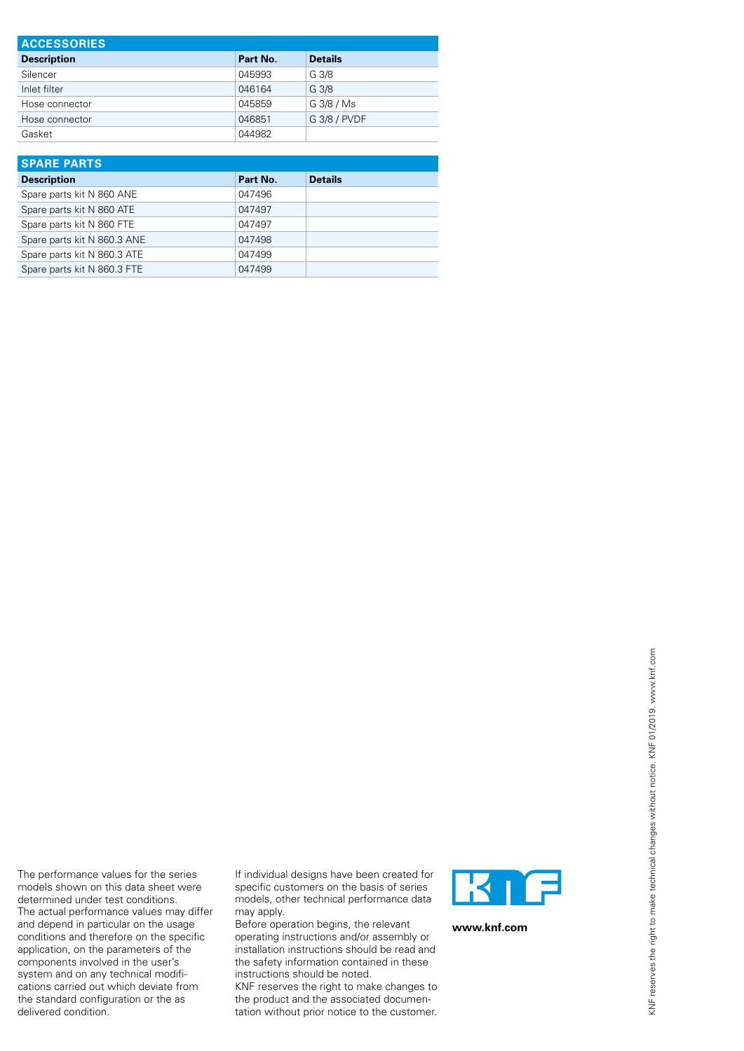| <b>ACCESSORIES</b> |          |                  |  |  |
|--------------------|----------|------------------|--|--|
| <b>Description</b> | Part No. | <b>Details</b>   |  |  |
| Silencer           | 045993   | G 3/8            |  |  |
| Inlet filter       | 046164   | G <sub>3/8</sub> |  |  |
| Hose connector     | 045859   | G 3/8 / Ms       |  |  |
| Hose connector     | 046851   | G 3/8 / PVDF     |  |  |
| Gasket             | 044982   |                  |  |  |

| <b>SPARE PARTS</b>          |          |                |
|-----------------------------|----------|----------------|
| <b>Description</b>          | Part No. | <b>Details</b> |
| Spare parts kit N 860 ANE   | 047496   |                |
| Spare parts kit N 860 ATE   | 047497   |                |
| Spare parts kit N 860 FTE   | 047497   |                |
| Spare parts kit N 860.3 ANE | 047498   |                |
| Spare parts kit N 860.3 ATE | 047499   |                |
| Spare parts kit N 860.3 FTE | 047499   |                |

If individual designs have been created for specific customers on the basis of series models, other technical performance data may apply.

The performance values for the series models shown on this data sheet were determined under test conditions. The actual performance values may differ and depend in particular on the usage conditions and therefore on the specific application, on the parameters of the components involved in the user's system and on any technical modifications carried out which deviate from the standard configuration or the as

delivered condition.

Before operation begins, the relevant operating instructions and/or assembly or installation instructions should be read and the safety information contained in these instructions should be noted.

KNF reserves the right to make changes to the product and the associated documentation without prior notice to the customer.



**www.knf.com**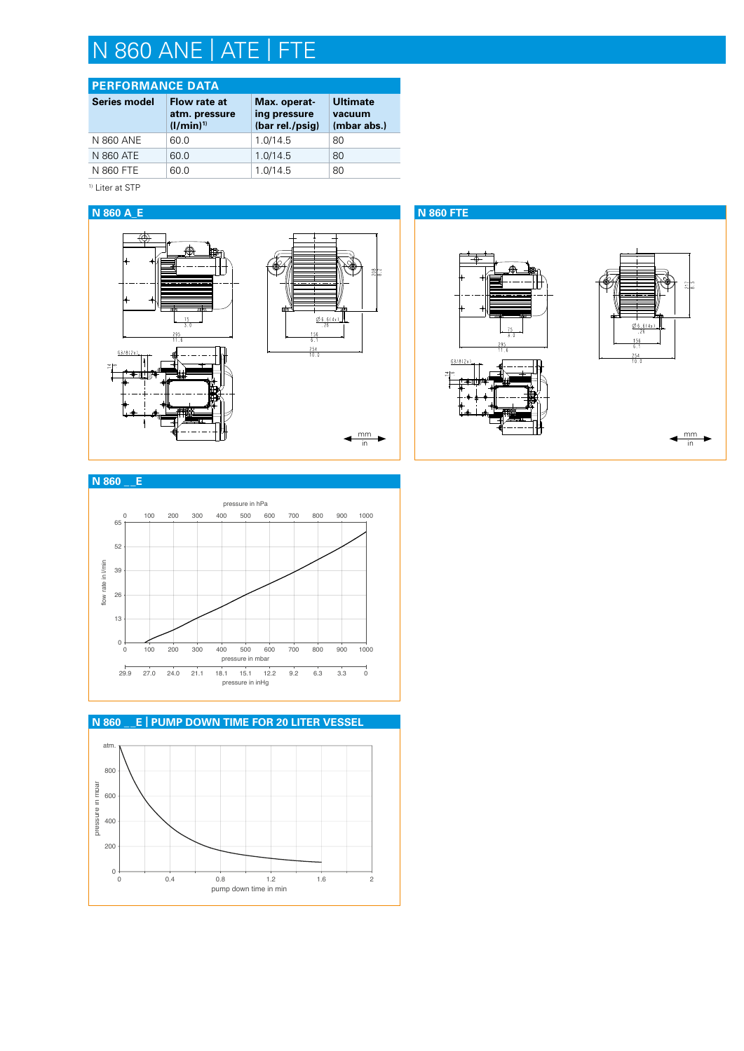## N 860 ANE | ATE | FTE

### **PERFORMANCE DATA**

| <b>Series model</b> | Flow rate at<br>atm. pressure<br>$(1/min)^{1}$ | Max. operat-<br>ing pressure<br>(bar rel./psig) | <b>Ultimate</b><br>vacuum<br>(mbar abs.) |
|---------------------|------------------------------------------------|-------------------------------------------------|------------------------------------------|
| N 860 ANE           | 60.0                                           | 1.0/14.5                                        | 80                                       |
| N 860 ATE           | 60.0                                           | 1.0/14.5                                        | 80                                       |
| N 860 FTE           | 60.0                                           | 1.0/14.5                                        | 80                                       |

1) Liter at STP





### $\bm{\mathsf{N}}$  860  $\_$  <mark>E | PUMP DOWN TIME FOR 20 LITER VESSEL</mark> atm. 800 pressure in moar pressure in mbar 600 400 200

0 0.4 0.8 1.2 1.6 2 pump down time in min

 $0\downarrow$